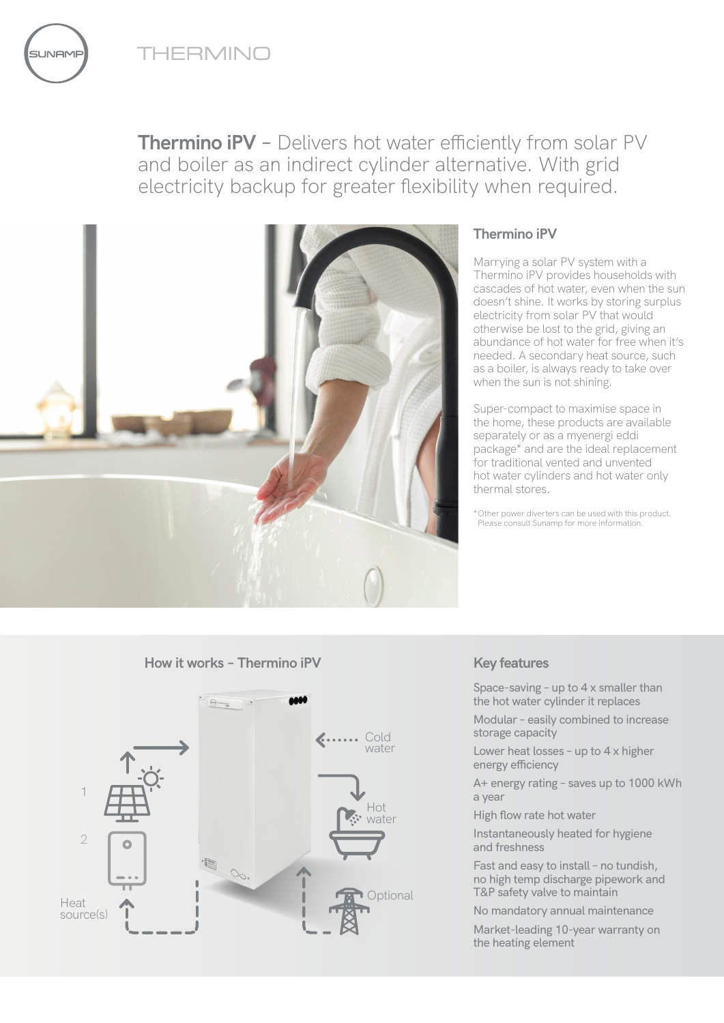

**JNAME** 

**Thermino iPV** – Delivers hot water efficiently from solar PV and boiler as an indirect cylinder alternative. With grid electricity backup for greater flexibility when required.



# **Thermino iPV**

Marrying a solar PV system with a Thermino iPV provides households with cascades of hot water, even when the sun doesn't shine. It works by storing surplus electricity from solar PV that would otherwise be lost to the grid, giving an abundance of hot water for free when it's needed. A secondary heat source, such as a boiler, is always ready to take over when the sun is not shining.

Super-compact to maximise space in the home, these products are available separately or as a myenergi eddi package\* and are the ideal replacement for traditional vented and unvented hot water cylinders and hot water only thermal stores.

\*Other power diverters can be used with this product. Please consult Sunamp for more information.

## **How it works – Thermino iPV Key features**



Space-saving – up to 4 x smaller than the hot water cylinder it replaces

Modular – easily combined to increase storage capacity

Lower heat losses – up to 4 x higher energy efficiency

A+ energy rating – saves up to 1000 kWh a year

High flow rate hot water

Instantaneously heated for hygiene and freshness

Fast and easy to install – no tundish, no high temp discharge pipework and T&P safety valve to maintain

No mandatory annual maintenance

Market-leading 10-year warranty on the heating element